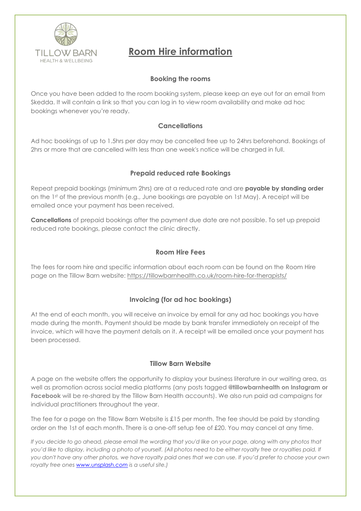

# **Room Hire information**

## **Booking the rooms**

Once you have been added to the room booking system, please keep an eye out for an email from Skedda. It will contain a link so that you can log in to view room availability and make ad hoc bookings whenever you're ready.

## **Cancellations**

Ad hoc bookings of up to 1.5hrs per day may be cancelled free up to 24hrs beforehand. Bookings of 2hrs or more that are cancelled with less than one week's notice will be charged in full.

## **Prepaid reduced rate Bookings**

Repeat prepaid bookings (minimum 2hrs) are at a reduced rate and are **payable by standing order** on the 1st of the previous month (e.g., June bookings are payable on 1st May). A receipt will be emailed once your payment has been received.

**Cancellations** of prepaid bookings after the payment due date are not possible. To set up prepaid reduced rate bookings, please contact the clinic directly.

# **Room Hire Fees**

The fees for room hire and specific information about each room can be found on the Room Hire page on the Tillow Barn website: <https://tillowbarnhealth.co.uk/room-hire-for-therapists/>

# **Invoicing (for ad hoc bookings)**

At the end of each month, you will receive an invoice by email for any ad hoc bookings you have made during the month. Payment should be made by bank transfer immediately on receipt of the invoice, which will have the payment details on it. A receipt will be emailed once your payment has been processed.

## **Tillow Barn Website**

A page on the website offers the opportunity to display your business literature in our waiting area, as well as promotion across social media platforms (any posts tagged **@tillowbarnhealth on Instagram or Facebook** will be re-shared by the Tillow Barn Health accounts). We also run paid ad campaigns for individual practitioners throughout the year.

The fee for a page on the Tillow Barn Website is £15 per month. The fee should be paid by standing order on the 1st of each month. There is a one-off setup fee of £20. You may cancel at any time.

*If you decide to go ahead, please email the wording that you'd like on your page, along with any photos that you'd like to display, including a photo of yourself. (All photos need to be either royalty free or royalties paid. If you don't have any other photos, we have royalty paid ones that we can use. If you'd prefer to choose your own royalty free ones [www.unsplash.com](http://www.unsplash.com/) is a useful site.)*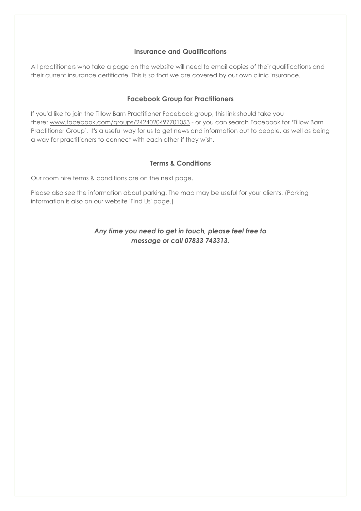### **Insurance and Qualifications**

All practitioners who take a page on the website will need to email copies of their qualifications and their current insurance certificate. This is so that we are covered by our own clinic insurance.

### **Facebook Group for Practitioners**

If you'd like to join the Tillow Barn Practitioner Facebook group, this link should take you there: [www.facebook.com/groups/2424020497701053](http://www.facebook.com/groups/2424020497701053) - or you can search Facebook for 'Tillow Barn Practitioner Group'. It's a useful way for us to get news and information out to people, as well as being a way for practitioners to connect with each other if they wish.

### **Terms & Conditions**

Our room hire terms & conditions are on the next page.

Please also see the information about parking. The map may be useful for your clients. (Parking information is also on our website 'Find Us' page.)

# *Any time you need to get in touch, please feel free to message or call 07833 743313.*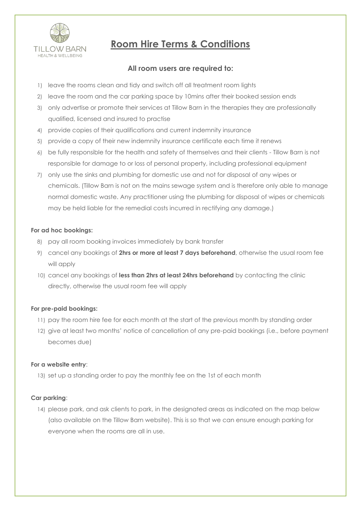

# **Room Hire Terms & Conditions**

# **All room users are required to:**

- 1) leave the rooms clean and tidy and switch off all treatment room lights
- 2) leave the room and the car parking space by 10mins after their booked session ends
- 3) only advertise or promote their services at Tillow Barn in the therapies they are professionally qualified, licensed and insured to practise
- 4) provide copies of their qualifications and current indemnity insurance
- 5) provide a copy of their new indemnity insurance certificate each time it renews
- 6) be fully responsible for the health and safety of themselves and their clients Tillow Barn is not responsible for damage to or loss of personal property, including professional equipment
- 7) only use the sinks and plumbing for domestic use and not for disposal of any wipes or chemicals. (Tillow Barn is not on the mains sewage system and is therefore only able to manage normal domestic waste. Any practitioner using the plumbing for disposal of wipes or chemicals may be held liable for the remedial costs incurred in rectifying any damage.)

#### **For ad hoc bookings:**

- 8) pay all room booking invoices immediately by bank transfer
- 9) cancel any bookings of **2hrs or more at least 7 days beforehand**, otherwise the usual room fee will apply
- 10) cancel any bookings of **less than 2hrs at least 24hrs beforehand** by contacting the clinic directly, otherwise the usual room fee will apply

#### **For pre-paid bookings:**

- 11) pay the room hire fee for each month at the start of the previous month by standing order
- 12) give at least two months' notice of cancellation of any pre-paid bookings (i.e., before payment becomes due)

#### **For a website entry**:

13) set up a standing order to pay the monthly fee on the 1st of each month

#### **Car parking**:

14) please park, and ask clients to park, in the designated areas as indicated on the map below (also available on the Tillow Barn website). This is so that we can ensure enough parking for everyone when the rooms are all in use.